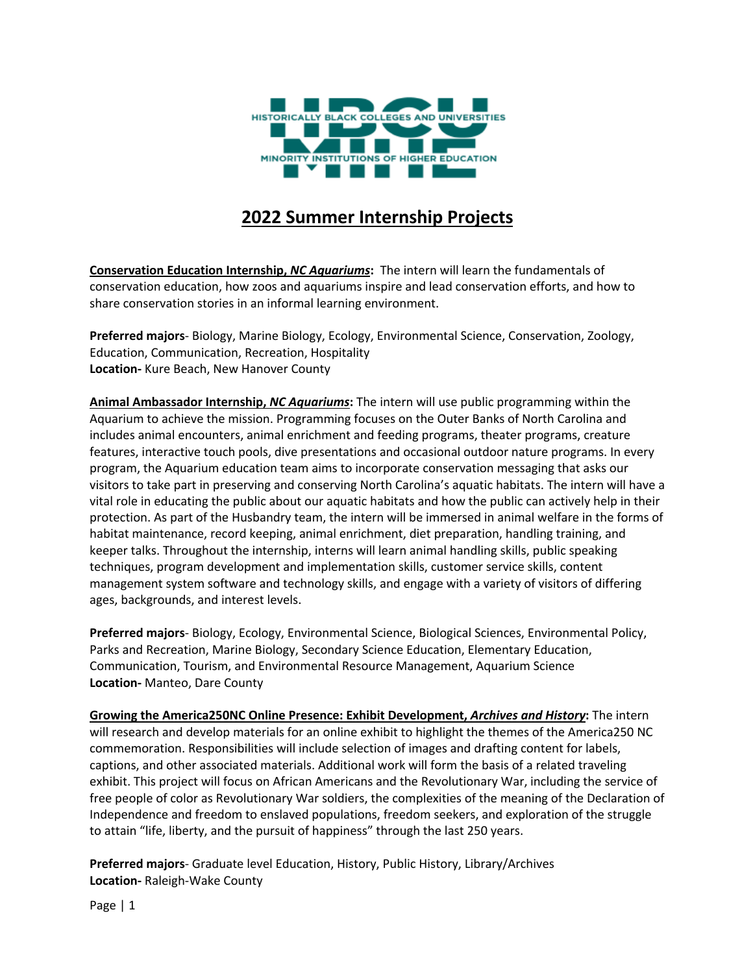

## **2022 Summer Internship Projects**

**Conservation Education Internship,** *NC Aquariums***:** The intern will learn the fundamentals of conservation education, how zoos and aquariums inspire and lead conservation efforts, and how to share conservation stories in an informal learning environment.

**Preferred majors**- Biology, Marine Biology, Ecology, Environmental Science, Conservation, Zoology, Education, Communication, Recreation, Hospitality **Location-** Kure Beach, New Hanover County

**Animal Ambassador Internship,** *NC Aquariums***:** The intern will use public programming within the Aquarium to achieve the mission. Programming focuses on the Outer Banks of North Carolina and includes animal encounters, animal enrichment and feeding programs, theater programs, creature features, interactive touch pools, dive presentations and occasional outdoor nature programs. In every program, the Aquarium education team aims to incorporate conservation messaging that asks our visitors to take part in preserving and conserving North Carolina's aquatic habitats. The intern will have a vital role in educating the public about our aquatic habitats and how the public can actively help in their protection. As part of the Husbandry team, the intern will be immersed in animal welfare in the forms of habitat maintenance, record keeping, animal enrichment, diet preparation, handling training, and keeper talks. Throughout the internship, interns will learn animal handling skills, public speaking techniques, program development and implementation skills, customer service skills, content management system software and technology skills, and engage with a variety of visitors of differing ages, backgrounds, and interest levels.

**Preferred majors**- Biology, Ecology, Environmental Science, Biological Sciences, Environmental Policy, Parks and Recreation, Marine Biology, Secondary Science Education, Elementary Education, Communication, Tourism, and Environmental Resource Management, Aquarium Science **Location-** Manteo, Dare County

**Growing the America250NC Online Presence: Exhibit Development,** *Archives and History***:** The intern will research and develop materials for an online exhibit to highlight the themes of the America250 NC commemoration. Responsibilities will include selection of images and drafting content for labels, captions, and other associated materials. Additional work will form the basis of a related traveling exhibit. This project will focus on African Americans and the Revolutionary War, including the service of free people of color as Revolutionary War soldiers, the complexities of the meaning of the Declaration of Independence and freedom to enslaved populations, freedom seekers, and exploration of the struggle to attain "life, liberty, and the pursuit of happiness" through the last 250 years.

**Preferred majors**- Graduate level Education, History, Public History, Library/Archives **Location-** Raleigh-Wake County

Page | 1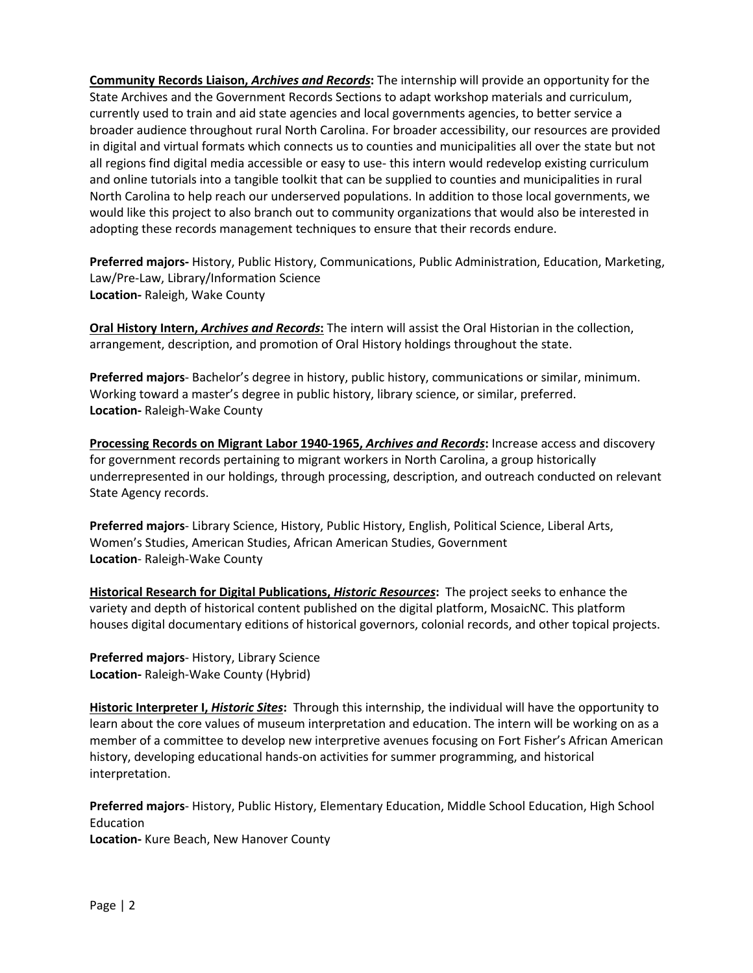**Community Records Liaison,** *Archives and Records***:** The internship will provide an opportunity for the State Archives and the Government Records Sections to adapt workshop materials and curriculum, currently used to train and aid state agencies and local governments agencies, to better service a broader audience throughout rural North Carolina. For broader accessibility, our resources are provided in digital and virtual formats which connects us to counties and municipalities all over the state but not all regions find digital media accessible or easy to use- this intern would redevelop existing curriculum and online tutorials into a tangible toolkit that can be supplied to counties and municipalities in rural North Carolina to help reach our underserved populations. In addition to those local governments, we would like this project to also branch out to community organizations that would also be interested in adopting these records management techniques to ensure that their records endure.

**Preferred majors-** History, Public History, Communications, Public Administration, Education, Marketing, Law/Pre-Law, Library/Information Science **Location-** Raleigh, Wake County

**Oral History Intern,** *Archives and Records***:** The intern will assist the Oral Historian in the collection, arrangement, description, and promotion of Oral History holdings throughout the state.

**Preferred majors**- Bachelor's degree in history, public history, communications or similar, minimum. Working toward a master's degree in public history, library science, or similar, preferred. **Location-** Raleigh-Wake County

**Processing Records on Migrant Labor 1940-1965,** *Archives and Records***:** Increase access and discovery for government records pertaining to migrant workers in North Carolina, a group historically underrepresented in our holdings, through processing, description, and outreach conducted on relevant State Agency records.

**Preferred majors**- Library Science, History, Public History, English, Political Science, Liberal Arts, Women's Studies, American Studies, African American Studies, Government **Location**- Raleigh-Wake County

**Historical Research for Digital Publications,** *Historic Resources***:** The project seeks to enhance the variety and depth of historical content published on the digital platform, MosaicNC. This platform houses digital documentary editions of historical governors, colonial records, and other topical projects.

**Preferred majors**- History, Library Science **Location-** Raleigh-Wake County (Hybrid)

**Historic Interpreter I,** *Historic Sites***:** Through this internship, the individual will have the opportunity to learn about the core values of museum interpretation and education. The intern will be working on as a member of a committee to develop new interpretive avenues focusing on Fort Fisher's African American history, developing educational hands-on activities for summer programming, and historical interpretation.

**Preferred majors**- History, Public History, Elementary Education, Middle School Education, High School Education

**Location-** Kure Beach, New Hanover County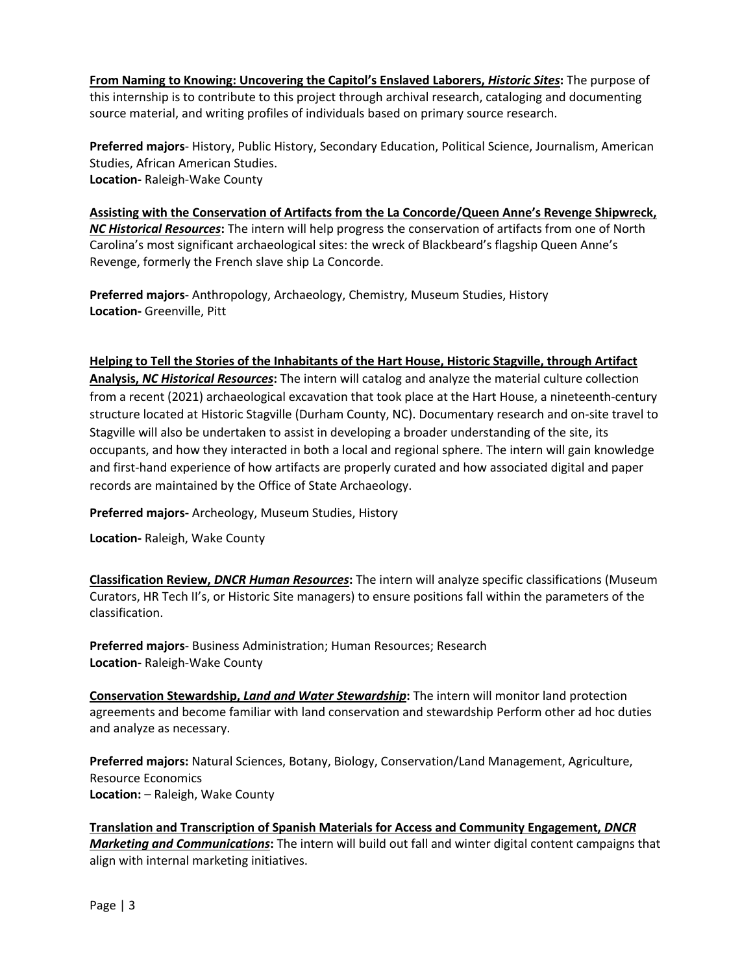**From Naming to Knowing: Uncovering the Capitol's Enslaved Laborers,** *Historic Sites***:** The purpose of this internship is to contribute to this project through archival research, cataloging and documenting source material, and writing profiles of individuals based on primary source research.

**Preferred majors**- History, Public History, Secondary Education, Political Science, Journalism, American Studies, African American Studies. **Location-** Raleigh-Wake County

**Assisting with the Conservation of Artifacts from the La Concorde/Queen Anne's Revenge Shipwreck,**  *NC Historical Resources***:** The intern will help progress the conservation of artifacts from one of North Carolina's most significant archaeological sites: the wreck of Blackbeard's flagship Queen Anne's Revenge, formerly the French slave ship La Concorde.

**Preferred majors**- Anthropology, Archaeology, Chemistry, Museum Studies, History **Location-** Greenville, Pitt

## **Helping to Tell the Stories of the Inhabitants of the Hart House, Historic Stagville, through Artifact**

**Analysis,** *NC Historical Resources***:** The intern will catalog and analyze the material culture collection from a recent (2021) archaeological excavation that took place at the Hart House, a nineteenth-century structure located at Historic Stagville (Durham County, NC). Documentary research and on-site travel to Stagville will also be undertaken to assist in developing a broader understanding of the site, its occupants, and how they interacted in both a local and regional sphere. The intern will gain knowledge and first-hand experience of how artifacts are properly curated and how associated digital and paper records are maintained by the Office of State Archaeology.

**Preferred majors-** Archeology, Museum Studies, History

**Location-** Raleigh, Wake County

**Classification Review,** *DNCR Human Resources***:** The intern will analyze specific classifications (Museum Curators, HR Tech II's, or Historic Site managers) to ensure positions fall within the parameters of the classification.

**Preferred majors**- Business Administration; Human Resources; Research **Location-** Raleigh-Wake County

**Conservation Stewardship,** *Land and Water Stewardship***:** The intern will monitor land protection agreements and become familiar with land conservation and stewardship Perform other ad hoc duties and analyze as necessary.

**Preferred majors:** Natural Sciences, Botany, Biology, Conservation/Land Management, Agriculture, Resource Economics **Location:** – Raleigh, Wake County

**Translation and Transcription of Spanish Materials for Access and Community Engagement,** *DNCR Marketing and Communications***:** The intern will build out fall and winter digital content campaigns that align with internal marketing initiatives.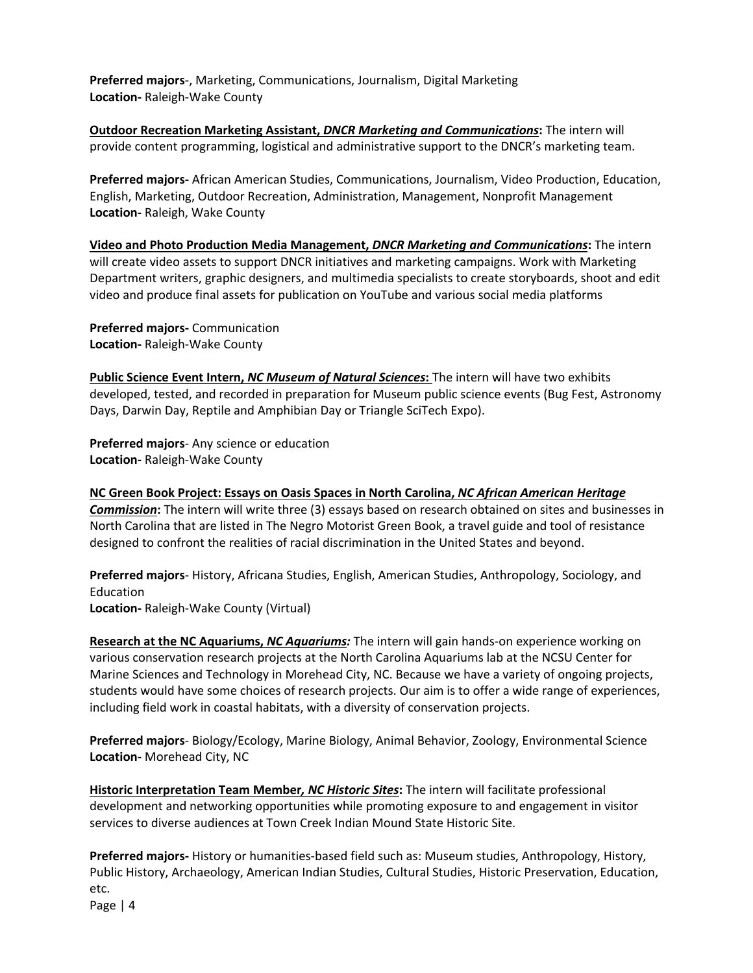**Preferred majors**-, Marketing, Communications, Journalism, Digital Marketing **Location-** Raleigh-Wake County

**Outdoor Recreation Marketing Assistant,** *DNCR Marketing and Communications***:** The intern will provide content programming, logistical and administrative support to the DNCR's marketing team.

**Preferred majors-** African American Studies, Communications, Journalism, Video Production, Education, English, Marketing, Outdoor Recreation, Administration, Management, Nonprofit Management **Location-** Raleigh, Wake County

**Video and Photo Production Media Management,** *DNCR Marketing and Communications***:** The intern will create video assets to support DNCR initiatives and marketing campaigns. Work with Marketing Department writers, graphic designers, and multimedia specialists to create storyboards, shoot and edit video and produce final assets for publication on YouTube and various social media platforms

**Preferred majors-** Communication **Location-** Raleigh-Wake County

**Public Science Event Intern,** *NC Museum of Natural Sciences***:** The intern will have two exhibits developed, tested, and recorded in preparation for Museum public science events (Bug Fest, Astronomy Days, Darwin Day, Reptile and Amphibian Day or Triangle SciTech Expo).

**Preferred majors**- Any science or education **Location-** Raleigh-Wake County

**NC Green Book Project: Essays on Oasis Spaces in North Carolina,** *NC African American Heritage Commission***:** The intern will write three (3) essays based on research obtained on sites and businesses in North Carolina that are listed in The Negro Motorist Green Book, a travel guide and tool of resistance designed to confront the realities of racial discrimination in the United States and beyond.

**Preferred majors**- History, Africana Studies, English, American Studies, Anthropology, Sociology, and Education **Location-** Raleigh-Wake County (Virtual)

**Research at the NC Aquariums,** *NC Aquariums:* The intern will gain hands-on experience working on various conservation research projects at the North Carolina Aquariums lab at the NCSU Center for Marine Sciences and Technology in Morehead City, NC. Because we have a variety of ongoing projects, students would have some choices of research projects. Our aim is to offer a wide range of experiences, including field work in coastal habitats, with a diversity of conservation projects.

**Preferred majors**- Biology/Ecology, Marine Biology, Animal Behavior, Zoology, Environmental Science **Location-** Morehead City, NC

**Historic Interpretation Team Member***, NC Historic Sites***:** The intern will facilitate professional development and networking opportunities while promoting exposure to and engagement in visitor services to diverse audiences at Town Creek Indian Mound State Historic Site.

**Preferred majors-** History or humanities-based field such as: Museum studies, Anthropology, History, Public History, Archaeology, American Indian Studies, Cultural Studies, Historic Preservation, Education, etc.

Page | 4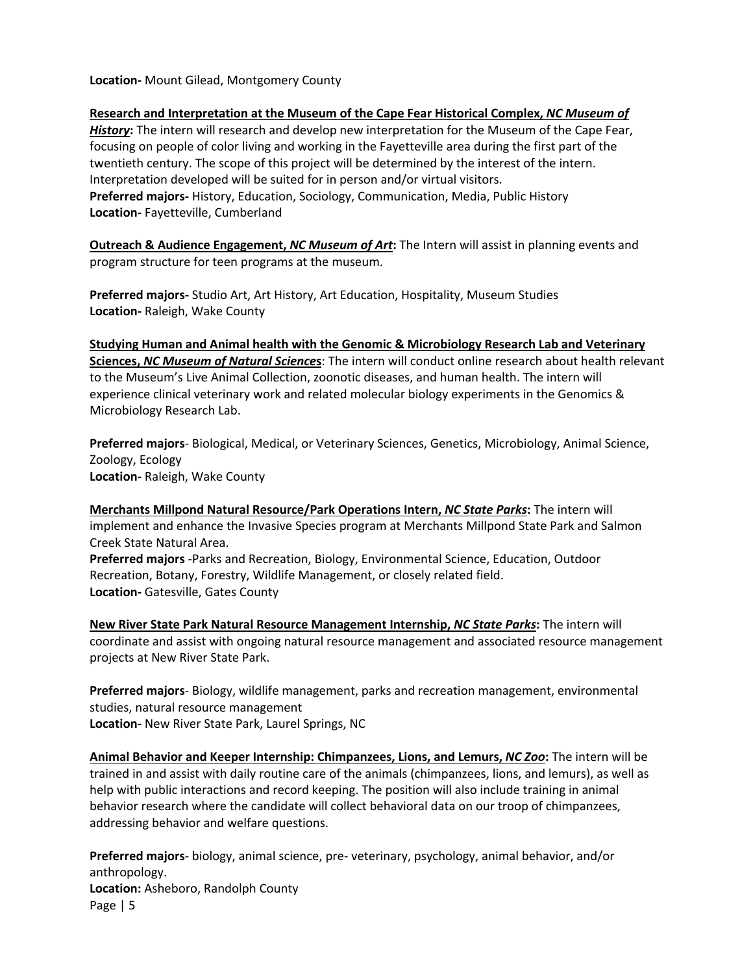**Location-** Mount Gilead, Montgomery County

**Research and Interpretation at the Museum of the Cape Fear Historical Complex,** *NC Museum of History***:** The intern will research and develop new interpretation for the Museum of the Cape Fear, focusing on people of color living and working in the Fayetteville area during the first part of the twentieth century. The scope of this project will be determined by the interest of the intern. Interpretation developed will be suited for in person and/or virtual visitors. **Preferred majors-** History, Education, Sociology, Communication, Media, Public History **Location-** Fayetteville, Cumberland

**Outreach & Audience Engagement,** *NC Museum of Art***:** The Intern will assist in planning events and program structure for teen programs at the museum.

**Preferred majors-** Studio Art, Art History, Art Education, Hospitality, Museum Studies **Location-** Raleigh, Wake County

**Studying Human and Animal health with the Genomic & Microbiology Research Lab and Veterinary Sciences,** *NC Museum of Natural Science***s**: The intern will conduct online research about health relevant to the Museum's Live Animal Collection, zoonotic diseases, and human health. The intern will experience clinical veterinary work and related molecular biology experiments in the Genomics & Microbiology Research Lab.

**Preferred majors**- Biological, Medical, or Veterinary Sciences, Genetics, Microbiology, Animal Science, Zoology, Ecology **Location-** Raleigh, Wake County

**Merchants Millpond Natural Resource/Park Operations Intern,** *NC State Parks***:** The intern will implement and enhance the Invasive Species program at Merchants Millpond State Park and Salmon Creek State Natural Area. **Preferred majors** -Parks and Recreation, Biology, Environmental Science, Education, Outdoor Recreation, Botany, Forestry, Wildlife Management, or closely related field. **Location-** Gatesville, Gates County

**New River State Park Natural Resource Management Internship,** *NC State Parks***:** The intern will coordinate and assist with ongoing natural resource management and associated resource management projects at New River State Park.

**Preferred majors**- Biology, wildlife management, parks and recreation management, environmental studies, natural resource management **Location-** New River State Park, Laurel Springs, NC

**Animal Behavior and Keeper Internship: Chimpanzees, Lions, and Lemurs,** *NC Zoo***:** The intern will be trained in and assist with daily routine care of the animals (chimpanzees, lions, and lemurs), as well as help with public interactions and record keeping. The position will also include training in animal behavior research where the candidate will collect behavioral data on our troop of chimpanzees, addressing behavior and welfare questions.

Page | 5 **Preferred majors**- biology, animal science, pre- veterinary, psychology, animal behavior, and/or anthropology. **Location:** Asheboro, Randolph County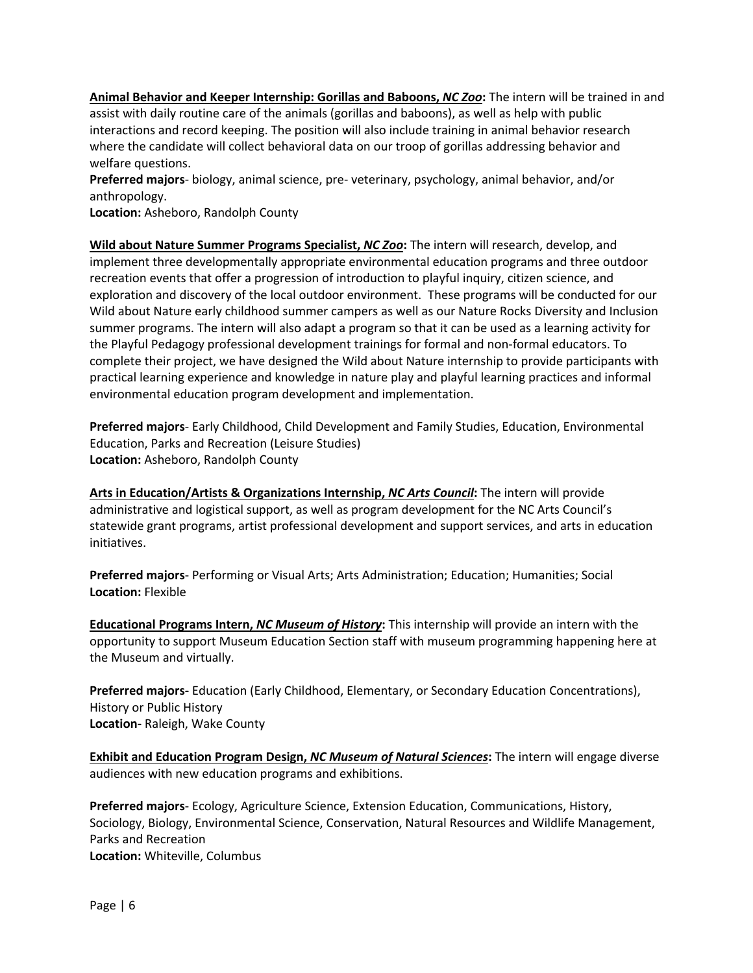**Animal Behavior and Keeper Internship: Gorillas and Baboons,** *NC Zoo***:** The intern will be trained in and assist with daily routine care of the animals (gorillas and baboons), as well as help with public interactions and record keeping. The position will also include training in animal behavior research where the candidate will collect behavioral data on our troop of gorillas addressing behavior and welfare questions.

**Preferred majors**- biology, animal science, pre- veterinary, psychology, animal behavior, and/or anthropology.

**Location:** Asheboro, Randolph County

**Wild about Nature Summer Programs Specialist,** *NC Zoo***:** The intern will research, develop, and implement three developmentally appropriate environmental education programs and three outdoor recreation events that offer a progression of introduction to playful inquiry, citizen science, and exploration and discovery of the local outdoor environment. These programs will be conducted for our Wild about Nature early childhood summer campers as well as our Nature Rocks Diversity and Inclusion summer programs. The intern will also adapt a program so that it can be used as a learning activity for the Playful Pedagogy professional development trainings for formal and non-formal educators. To complete their project, we have designed the Wild about Nature internship to provide participants with practical learning experience and knowledge in nature play and playful learning practices and informal environmental education program development and implementation.

**Preferred majors**- Early Childhood, Child Development and Family Studies, Education, Environmental Education, Parks and Recreation (Leisure Studies) **Location:** Asheboro, Randolph County

**Arts in Education/Artists & Organizations Internship,** *NC Arts Council***:** The intern will provide administrative and logistical support, as well as program development for the NC Arts Council's statewide grant programs, artist professional development and support services, and arts in education initiatives.

**Preferred majors**- Performing or Visual Arts; Arts Administration; Education; Humanities; Social **Location:** Flexible

**Educational Programs Intern,** *NC Museum of History***:** This internship will provide an intern with the opportunity to support Museum Education Section staff with museum programming happening here at the Museum and virtually.

**Preferred majors-** Education (Early Childhood, Elementary, or Secondary Education Concentrations), History or Public History **Location-** Raleigh, Wake County

**Exhibit and Education Program Design,** *NC Museum of Natural Sciences***:** The intern will engage diverse audiences with new education programs and exhibitions.

**Preferred majors**- Ecology, Agriculture Science, Extension Education, Communications, History, Sociology, Biology, Environmental Science, Conservation, Natural Resources and Wildlife Management, Parks and Recreation **Location:** Whiteville, Columbus